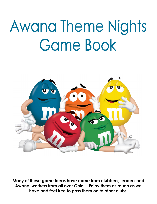# **Awana Theme Nights Game Book**



**Many of these game ideas have come from clubbers, leaders and Awana workers from all over Ohio….Enjoy them as much as we have and feel free to pass them on to other clubs.**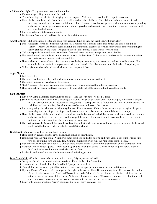# All Tired Out Night - Play games with tires and inner tubes.

- ☻Various relays rolling tires around the circle.
- ☻Throw bean bags or balls into tires laying in center square. Make each tire worth different point amounts.
- ☻Place clubbers on their circle from shortest to tallest and number clubbers. Place 5-6 inner tubes in center of circle, marking one with tape or make it a different color. This one is worth more points. Call number and corresponding clubbers run in and gather as many inner tubes as possible and return to line. Count up points and continue until everyone has had a turn.
- ☻Run laps with inner tubes around waist.
- ☻Lay tires out "army style" and have them run through the course.

Alphabet Night– Clubbers choose a letter and dress with as many things as they can that begin with their letter.

- ☻Use "Alphabets" cereal or "Scrabble" Cheese-Its. Clubbers run a lap and come into center and grab a handful of "letters". After each clubber gets a handful, the team works together to form as many words as they can using the letters grabbed by the team. Designate a specific time frame. Count words for each team.
- ☻Call out a specific letter and have teams lie on floor and make the letter using whole team's bodies.
- ☻Use a marker and put one letter on the bottom of each clubbers feet. Call out a word and see which team can put their feet in the correct order to spell the word first.
- ☻Have each team choose a letter. See how many words they can come up with to correspond to a specific theme. For example, how many fruits can you name using your letter? How about states, animals, foods, colors, cities, etc.
- ☻Make a giant word search and see which team can complete it first.

# Apple Night -

- ☻Bob for apples.
- ☻Use apples for bowling balls and knock down pins, empty water or juice bottles, etc.
- ☻Use apples in place of bean bag for toss games.
- ☻Stack 4 apples. They must stack one atop another and remain balanced for at least 5 seconds.
- ☻Hang apples from ceiling and have clubbers try to take a bite out of the apple without using their hands.

# Big Foot Night -

- ☻Run a rely using giant foam feet with rope handles (like the "stilt cans" we used as kids).
- ☻See how few feet your team can have touching the ground in a given period of time. For example, if there are 6 players on your team, there are 12 feet touching the ground. If each player lifts a foot, there are now six on the ground. If a clubber picks up another, that eliminates another foot and so on….be creative.
- ☻Run a relay using giant slippers or swimming flippers. Everyone takes off their shoes before the game begins. Player 1 runs a lap with the slippers or flippers and passes to the next player and so on until the whole team plays.
- ☻Have clubbers take off shoes and socks. Draw a letter on the bottom of each clubbers foot. Call out a word and have the clubbers put their feet in the correct order to spell the word. (If you don't want to write on their feet, use post it notes on the bottoms of their shoes and play the same way.
- ☻Use Co-Op-A-Walks (laps with 2-4 people) or Giant foam feet hockey sticks for additional games (maneuver ball around circle with the hockey sticks– available from S&S worldwide).

Book Night - Clubbers bring their favorite book to club.

- ☻Have clubbers run around the circle balancing book(s) on their heads.
- ☻First player runs lap with book. Next player takes first book and adds his own and runs a lap. Next clubber takes first two books plus his own and runs lap. Continue until last person runs lap with entire team's books.
- ☻Make sure each clubber has a book. Call out a word and see which team can find that word in one of their books first.
- ☻Lay books out in center square. Throw bean bags and try to land on books. Give each book a point value. Stack of books might be worth more than single book on floor.
- ☻Lay books end to end and see which team can make the longest line.

Boot Camp Night - Clubbers dress in boot camp attire; camo, fatigues, sweats and t-shirts.

- ☻Set up an obstacle course with various exercises. Time clubbers for fastest time.
- ☻Army crawl, tire obstacle, hurdles, "mud hole" jump, over a wall, etc.
- ☻Time clubbers at various physical fitness tests. How many sit ups, push ups, crunches, etc. in 30 seconds.
- ☻Ups and Downs You need 20 cones spread throughout the room. Place 10 cones upright and 10 cones on their sides. Assign 2 color teams to be "ups" and 2 color teams to be "downs". At the blow of the whistle, each team tries to either set up or lay down all the cones. At the end of a set time frame (30 second, 1 minute, etc.) blow the whistle and count cones in each position. Winner is team with the most in their assigned position.
- ☻Relays with various articles of "army" clothing. Big boots, heavy coat, hats, etc.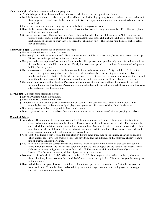# Camp Out Night - Clubbers come dressed in camping attire.

- ☻Tent building use 4 small tents and have clubbers see which team can put up their tent fastest.
- ☻Feed the bears In advance, make a large cardboard bear's head with a big opening for the mouth (or one for each team). Run a regular relay and have clubbers throw plastic food or empty cans and see which team can feed their bear the most food.
- ☻Run a potato sack relay using sleeping bags or use kids' lanterns in place of batons.
- ☻Have clubbers run a relay using tongs and hot dogs. Hold the hot dog in the tongs and run a lap. Pass off to next player until all clubbers have played.
- ☻Give each clubber a strip of bug stickers then it's every bug for himself! The aim of the game is to "bite" someone by putting a sticker on their back without them noticing. At the end of the club night, the clubber (or leader) with the least amount of stickers on their back is declared the "champion bug". The clubber with the most stickers gets a box of band-aids.

Candy Cane Night– Clubbers dress in red and white for the night.

- ☻Use candy canes instead of batons for relays
- ☻Use large plastic candy canes as "targets". Place candy cane in a can filled with rice, corn, beans, etc to make it stand up. Throw rings or hoops and try to ring the candy cane.
- ☻Use giant candy cane in place of pool noodle for team relay. First person runs lap with candy cane. Second person joins first and both run lap holding candy cane. Third joins in on next lap and so on until whole team runs last lap while holding the candy cane.
- ☻Use various colors of candy canes and lay them out on the floor in the center square. Assign each flavor/color point values. Line up team along white circle, shortest to tallest and number them starting with shortest. Call out a number and blow the whistle. On the whistle, clubbers run to center and grab as many candy canes as they can and bring them back across circle. Count up points and move on to next number until each player has had a turn.
- ☻Use jumbo candy canes (without hooks). Place cane between knees of first player and have them pass it to the next person without using their hands. Pass candy cane down the line until the last person gets the candy cane then runs a lap and goes in for the center pin.

Clown Night - Clubbers come dressed as clowns.

- ☻Run relay wearing jumbo clown shoes.
- ☻Relays riding tricycles around the circle.
- ☻Clubbers run lap and get one piece of clown outfit from center. Take back and dress leader with the article. For example, bow ties, rubber nose, curly wig, big shoes, gloves, etc. First team to "dress" their leader wins.
- ☻How many clowns (clubbers) can you fit in the car (hula hoop)
- ☻Draw or paint a clown face on a balloon (as a team, each clubber does a certain feature) without popping the balloon.

# Crazy Sock Night -

- ☻Sock Mania How many socks can you put on one foot? Line up clubbers on their circle from shortest to tallest and assign each a number starting with the shortest. Place a pile of socks in the center of the circle. Call out a number and each clubber with that number runs to the center and has 10 seconds to put on as many pairs of socks as they can. Blow the whistle at the end of 10 seconds and clubbers go back to their line. Have leaders count socks and assign points. Continue until each number has been called.
- ☻Sock Hunt You'll need a pair of socks for each clubber. Before game time, take one sock from each pair and hide it. Then at game time, give each clubber a sock and have them find the hidden sock that matches. The first team to find all their matches is the winner.
- ☻You will need lots of sock and several familiar toys or foods. Place an object in the bottom of each sock and put the socks in laundry basket. Do this for each color line and make sure all objects are the same for each team. Have clubbers run a relay and go into the center for a sock. Clubbers must reach in and identify the object without looking. The first team to identify all their objects correctly is the winner.
- ☻Fold several pairs of socks into "balls". Give each clubber a "ball". Run a regular relay. When clubbers get back to their color lines, they try to throw their "sock balls" into a center laundry basket. The team that gets the most pairs in is the winner.
- ☻Have each clubber put a pair of socks on their hands. Have them open a piece of candy (kisses) with the socks on their hands and eat it. When they have swallowed, they can run thier lap. Continue until each player has unwrapped and eaten their candy and run a lap.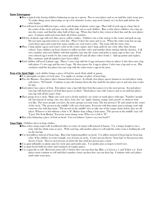# Easter Extravaganza -

- ☻Run a typical relay having clubbers balancing an egg on a spoon. Pass to next player and so on until the entire team goes. To make things more interesting, set up a few obstacles (cones, step stool, tunnel, etc.) in their path before the relay begins.
- ☻You will need several different types, colors, and designs of plastic easter eggs. Place half of each egg in a large bin in the center of the circle and pass out the other half, one to each clubber. Run a relay where clubbers run a lap, go into the center, and find the other half of their egg. When they find it, they return to their line and the next player goes. Continue until each team finds all of their matches.
- ☻Fill lots of plastic eggs with red, blue, green, yellow candies. Clubbers run a relay and go to the center and grab an egg. Do not open egg and return to color line. Player 2 does the same and so on. When the entire team has an egg, crack them open and count how many candies are your team's color. The team with the most, wins.
- ☻Place 1 large plastic egg in each team's color in the center square and 1 large gold (or any color other than Awana colors). Line clubbers up from shortest to tallest on thier cirlce and number them starting with the shortest. Call out a number and each clubber with that number runs into the center and grabs as many eggs as they can. Your own colored egg is worth 10, the center gold worth 20 and all other colors worth 5. Add up points and replace. Play continues until all numbers have been called.
- ☻Each clubber will need 2 plastic eggs. Player 1 runs a lap with his 2 eggs and passes them to player 2 who then runs a lap with player 1's two eggs and his own 2 eggs. He then passes his 4 eggs to player 3 who runs a lap and so on. Play continues until the last player has run a lap with the entire team's eggs in his arms.

Fruit of the Spirit Night - each clubber brings a piece of fruit for snack (fruit salad) or games.

- ☻Use pineapples in place of circle pins. Use apples or oranges in place of bean bags.
- ☻Pass the Banana first player places banana between knees. At whistle, first player passes banana to second player using only knees. NO hands. Continue to pass the banana down the line until the last player gets it and runs into center for pin.
- ☻Each player has a piece of fruit. First player runs a lap with their fruit then passes it to the next person. Second player runs lap with both pieces of fruit then passes to third. Third player runs with 3 pieces and so on until last player runs lap with all the team's fruit.
- ☻Have group sit in a circle. Make sure each seat is clearly marked-- use chairs or mark places with tape. "Number" people off, but instead of saying, "one, two, three, four, five" say "apple, banana, orange, kiwi, peach" or whatever fruit you like. The more people you have, the more groups you may want. The last person is "It" and stands in the center of the circle. "The person in the middle" yells out a fruit name. Everyone with that name must exchange seats with someone else with that name. "The person in the middle" tries to take one of the empty chairs before they are all taken. Whoever is left without a chair is "It". Rather than yelling a fruit name, "The person in the middle" may yell "Upset The Fruit Basket." Everyone must change seats. Who ever is left is "It"
- ☻Run relay balancing a piece of fruit on head. Can you balance 2 pieces on your head??

Giant Night - Clubbers dress in large clothes.

- ☻Run relays using carpet rolls (cardboard tubes in center of carpet roll) instead of batons. Use a longer length to run a relay with the whole team at once. With each lap, add another player to roll until the entire team is holding the roll on the last lap.
- ☻Use bed pillows instead of bean bags. Run relay balancing pillow on head. Use pillow instead of bean bag for bean bag relay. (One clubber in center triangle, rest of team on circle. Center person throws "bean bag" to first person who throws it back. Then to next person on down the line until last person gets a turn)
- ☻Use giant inflatable or plastic pins for circle pins and inside pins. Use jumbo pins as targets to bowl over.
- ☻Use giant beach balls for relays and variations of regular games.
- ☻Use a giant die to roll. Red team must roll a 3 before they can run their lap, Blue a 4, Green a 5, and Yellow a 6. Each player must continue to roll until their number comes up then they can run their lap. Continue with each player until entire team goes.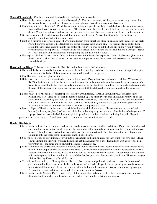#### Great Affliction Night - Clubbers come with band-aids, ace bandages, braces, crutches, etc.

- ☻Have clubbers run a regular relay, but with a "broken leg". Clubbers can crawl, roll, hop, or whatever they choose, but they can only use 1 leg to do so. If you can get enough sets of crutches, you can use those as well.
- ☻Play a relay with a "broken arm" . Put clubbers arm in a sling and give them a large beach ball (or other item that may be large and hard to do with one arm) to carry. They must run a lap with the beach ball, but can only use one arm to do so. When they get back to thier line, put the sling on the next player and continue until each clubber as a turn.
- ☻Give each team a roll of toilet paper. Have clubbers wrap their leader in "guaze" (toilet paper). The first team to completely use their roll of toilet paper wins.
- ☻Print off 4 pictures (one for each team) of a "wounded knee" from clipart and place on an easle in the center of the circle.. Pair off player in groups of 2. Blindfold one player and give them a band-aid. The second player guides them around the circle and takes them into the center where player 1 tries to put the band-aid on the "wound" with the verbal instructions of player 2. When the band-aid is placed, they return to the line and 2 more players go. Trade off "jobs" and play until each has had a turn putting the band-aid on the "knee"
- ☻Use tarps or blankets for each team. One clubber (the wounded) lies on the tarp while 2 other clubbers drag him around the circle and back to their diagonal. A new clubber and puller repeat the process until everyone has been drug around the circle.

Hawaiian Luau Night - Clubbers come dressed in Hawaiian outfits, beach attire (NO swimsuits)

- ☻Use beach balls, beach towels, buckets and shovels, shells, leis, and big beach hats for games. Set up pineapples for pins. Use coconuts for balls. Hula hoops and sponges will also afford fun games.
- ☻Play Hawaiian music and play the limbo.
- ☻Hula hoop relay Have each team stand in a line, holding hands. Place a hula hoop in front of each line. When you say, "Go!" the first child in each line bends over and picks up the hula hoop without letting go of his or her teammate's hand. Each child should then pass the hula hoop over his or her head and shoulders, step through, and pass it on to the arm of the next player in line while staying connected. If the children become disconnected, they must start over.
- ☻Beach relay You will need 4 of several types of beachwear (sunglasses, Hawaiian shirt, floppy hat, leis, grass skirts, swim shorts, etc.). Place one of each item into a beach bag. The first player in each line should remove all of the items from his beach bag, put them on, run to the beach/lawn chair, sit down on the chair, stand back up, run back to his line, remove all of the items, put them back into the beach bag, and hand the bag to the next player in line. Play continues until all of the players on one team have completed the relay
- ☻Beach ball pass The first clubber runs a lap while batting a beach ball into the air. Players may use any part of their bodies (i.e. hands, feet, head) to keep the ball in the air, but they may not hold the ball or let it touch the ground. If a player holds or drops the ball they must pick it up and toss it in the air before continuing forward. Player 1 passes the beach ball to player 2 and so on until the entire team has made it around the circle.

# Hershey Kiss Night -

- ☻Each clubber will need a Hershey kiss and you will need a piece of poster board for each team. Player one runs a lap and goes into the center poster board, unwraps the kiss and uses the pointed end to write their first name on the poster board. When they have written their name, they eat the rest and return to their line where the next player goes. Continue until the entire team's names are on the poster board.
- ☻You will need 1 pair of large mittens or oven mits for each team and enough kisses for each clubber to have one. Player 1 must unwrap the kiss while wearing the mittens, eat the kiss, and run a lap. The mittens are passed to the next player that does the same and so on until the entire team has gone.
- ☻Each team needs two bowls: one empty bowl and one bowl full of Hershey Kisses. Set the bowl of Hershey Kisses before them with the empty bowl in the center of the circle. Give each team member their own plastic spoon and instruct clubbers to transfer the Hershey Kisses from one bowl to the other with their spoons. You can require the students to have the spoons in their mouth which is much harder than just using the spoon in your hands. The team that gets all their Hershey Kisses transferred first wins.
- ☻You will need several bags of Hershey kisses. Place red, blue, green, and yellow circle dot stickers on the bottoms of each and randomly place on a small table in the center of the circle. Player 1 runs a lap and goes into the center to find a kiss with his team's color on the bottom. When he finds it, he returns to his team and the next player goes. Play continues until each team has found 10 kisses with their team's color.
- ☻Each clubber needs 2 kisses. Play a typical relay. Clubbers run a lap and come back to their diagonal where they toss their kisses into a bucket into the center of the circle. The team that gets the most in wins.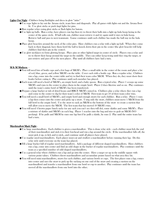#### Lights Out Night - Clubbers bring flashlights and dress in glow "attire"

- ☻Use rope lights to lay out the Awana circle, team lines and diagonals. Play all games with lights out and the Awana floor lit. Use glow sticks or push (tap) lights for pins.
- ☻Run regular relays using glow sticks or flash lights for batons.
- ☻Use light up balls. Run a relay, have players run lap then try to throw their balls into a light up hula hoop laying in the center of the game circle. If ball rolls out, clubber must retrieve it and try again until it stays in hula hoop. Retrieve ball and pass to next teammate. Game continues until each clubber has made the ball stay in the hula hoop.
- ☻Place glow bracelets around the neck of the color pins. Have clubbers run a relay with a light up ball. When they come back to their diagonal, have them bowl the ball to knock down their pin in the center (the glow bracelet will help clubbers find their pin in the center).
- ☻Use glow necklaces to form glowing hoops. Place pins or other lighted target in center of circle. Players run a relay and try to throw their hoop around the target in the middle. They can either keep trying until they ring the target, or just retrieve and pass off to the next player. Play until all clubbers have had a turn.

## M & M Madness -

- ☻You will need lots of bottle caps and a few bags of M&M's. Place a small table in the center of the room and place a lot of red, blue, green, and yellow M&M's on the table. Cover each with a bottle cap. Run a regular relay. Clubbers run a lap, come into the center table and try to find their team color M&M. When they do, they must show their leader before eating it. Play continues until each member has played.
- ☻Each team will need a bowl of M&M's, an empty bowl, and a baby spoon. Run a typical relay. Player 1 scoops up some M&M's and runs to the center to place them in the empty bowl. Player 2 does likewise and so on. Play continues until the team's entire bowl of M&M's has been transferred.
- ☻Prepare a large bucket or tub of dried beans and RBGY M&M's mixed in. Clubbers play a relay where they run a lap and come to the center to dig for their team's color of M&M. First team to get 10 of their team color wins.
- ☻You will need a small bowl of M&M's, and empty bowl and enough straws for each clubber. Run a relay. Player 1 runs a lap then comes into the center and picks up a straw. Using only the straw, clubbers must move 1 M&M from the full bowl to the empty bowl. Use the straw to suck an M&M to the bottom of the straw to create a suction that will allow you to move the M&M. The first team that has moved 10 M&M's wins.
- ☻You will need 4 brown paper lunch sacks (or any sack you can't see thru will do), some skittles and some M&M's. Place a mixture of skittles and M&M's in each bag. Player 1 reaches into the bag and tries to grab an M&M (NO peeking). If he pulls and M&M he runs one lap but if he pulls a skittle, he runs 2. Play until the entire team has had a turn.

#### Marshmallow Mash Night -

- ☻Use large marshmallows. Each clubber is given a marshmallow. This is done relay style each clubber must lick the end of their marshmallow and stick it to their forehead and run a lap around the circle. If the marshmallow falls off, the must pick it up, re-lick and re-stick...and continue until all players have played.
- ☻Use regular sized marshmallows. Each player must eat and swallow a marshmallow before running their lap. Do this relay style until everyone on the team has played.
- ☻Fill a large bucket full of regular sized marshmallows. Add a package of different shaped marshmallows. Have clubbers run a lap, come into center and find an odd shape in the bucket of regular marshmallows. Play continues until the team as a specified number of odd shaped marshmallows.
- ☻Use a general relay where clubbers run a lap and go into the center. Have a target set up in the middle square with various point values. Clubbers throw marshmallows and accumulate points based on what area they hit.
- ☻You will need mini marshmallows, straws for each clubber, and various bowls or cups. The first player runs a lap, comes into center and uses the straw to pick up (by sucking on one end of the straw and creating a suction on the marshmallow) and transfer a marshmallow from one bowl or cup to another. Play continues until the team has moved all the marshmallows from one bowl into the other.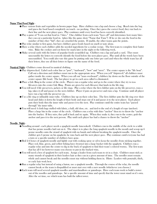## Name That Food Night -

- ☻Place various fruits and vegetables in brown paper bags. Have clubbers run a lap and choose a bag. Reach into the bag and guess the food based completely on touch - no peeking. Once they guess the correct food, they run back to their line and the next player goes. Play continues until every food has been correctly identified.
- ☻Play a game of "I can eat that food in ? bites." One clubber from each team "faces off" and determines how many bites they can eat a particular food in. (plays like the game show "Name that Tune") If he or she eats the food in the number of bites they "bid", they are awarded the points. If unable, the other teams gain the points.
- ☻Play relay similar to first game, but have clubbers guess foods based on smell or taste alone.
- ☻Have a relay where each clubber adds the needed ingredients for a cookie recipe. The first team to complete their batter wins. Bake the cookies and eat them for snack later in the night or the following week.
- ☻Make several cards with the letters of popular foods scrambled up. Clubbers run a lap and grab a card. They must unscramble the letters to correctly identify the food before the next player goes. Play until all the words have been unscrambled. You could also vary this game by putting only one letter per card and when the whole team has all their letters, they use all their letters to figure out the name of the food.

## Nautical Night - Clubbers come dressed in nautical clothing.

- ☻Play shipwrecked. Label each color line as "port", "starboard", "bow" and "stern". The center square is the "life boat". Call out a direction and clubbers must run to the appropriate area. When you yell "shipwreck" all clubbers must gather inside the center square. When you call out "man overboard", clubbers lay down on the floor outside of the center square (life boat). The last player to get to each area called is eliminated.
- ☻Place a Life Ring in the center of the circle. Players run a regular relay and go to the center where they try to toss lifesavers into the center Life Ring. Points are given for each lifesaver that lands in the life ring.
- ☻You will need 4 life preservers, jackets or life rings. Play a relay where the first clubber puts on the life preserver, runs a lap, takes it off and passes to the next clubber. Player 2 puts on preserver and runs a lap. Continue until all player have run a lap with the preserver on.
- ☻Use a life ring or inflatable inner tube. Clubbers line up on their color line. The first clubber puts the life ring over their head and slides it down the length of their body and steps out of it and passes it to the next player. Each player puts their body thru the inner tube and passes it to the next. Play continues until the entire team has "passed through" the inner tube.
- ☻You will need 4 cloth bags stuffed with fabric, a ball, old shoe, etc. and tied to the end of a length of rope (anchor). Place a large bin in the center of the circle. Clubbers run a relay with thier "anchor" then try to throw the "anchor into the bucket. If they miss, they pull it back and try again. When they make it, they run to the center, grab the anchor and pass it to the next person. Play until each player has had a chance to throw the "anchor"

# Noodle Night -

- ☻Noodling around each player needs a spaghetti noodle (uncooked). Clubbers run to the middle of the circle to a table that has penne noodles laid out on it. The object is to place the long spaghetti noodle in the mouth and scoop up 6 penne noodles onto the strand of spaghetti with no hands and without breaking the spaghetti noodle. Once the clubber gets 6 penne on his spaghetti, he runs back and the next player goes. Play continues until everyone has had a turn or a specific number of clubbers have gone.
- ☻Boil 2-4 boxes of spaghetti noodle and lightly coat with cooking spray or oil to keep the noodles from sticking together. Place red, blue, green, and yellow fishing lures (worms) into a large bucket with the spaghetti. Clubbers run a regular relay and into the center to dig in the buck of spaghetti to find their team's colored worms. The first team that has all 6 (or however many you choose to put in the bucket) wins.
- ☻You will need a box of spaghetti for each team. Assign a leader from each team to sit in a chair. Clubbers must stick as many strands of spaghetti in their leaders hair as they can in a given amount of time. The noodles must remain whole and cannot break and the noodles must stay without holding them in. Hints: Leaders with ponytails, thick, or curly hair work best.
- ☻Run a regular relay but instead of using a baton, use a spaghetti noodle. Through the course of the relay, the noodle cannot break or the team is disqualified or must start over with a new noodle (whichever you choose.)
- ☻Each team will need several spaghetti noodles and marshmallows or gumdrops. Have each team work to build a tower out of the noodles and gumdrops. Set a specific amount of time and specify that the tower must stand on it's own. After the set time, see which team has built the tallest tower.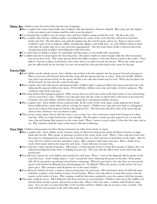**Pajama Jam -** clubbers come dressed in their favorite pair of pajamas.

- ☻Run a regular relay using a large bulky pair of slippers (the big animal or character shaped). Run a lap, pass the slippers to the next player and continue until the entire team has played.
- ☻Use sleeping bags or pillow cases for potato sacks and have clubbers jump around the circle. Do this relay style.
- ☻Play a regular relay but have clubbers gather everything from the center of the circle that they will need to tuck their leader into bed. The first player may grab the pajama top, the next the pants, and so on. Items to put in center would be a pair of men's pajamas, pillow, sleeping bag, slippers, and teddy bear. As each clubber returns to their color line, the leader puts on or uses each item appropriately. The first team whose leader is dressed and in the sleeping bag, head on pillow and holding the teddy bear wins.
- ☻Use a bed sheet or blanket in place of a parachute and play games as you would with a parachute.
- ☻Use pillow instead of a bean bag for the bean bag relay. One player stands in center triangle while the other teammates line up on their circle. The center person throws the pillow to player 1 who then throws it back to the center. Then pillow is thrown to player 2 and back to the center and so on until everyone has thrown. When the center person gets the pillow back for the last time, he runs out around his color pin then back to the center for the pin.

## Popcorn Night -

- ☻Each clubber needs a plastic spoon. Line clubbers up on their color line and give the first person 6 kernels of popcorn. Players must pass all 6 kernels down the line using only the spoons and one at a time. If the kernel falls, clubbers may pick it up and put it back on the spoon, but this is the only time hands may be used. When the last player has all the kernels, he runs into the center for the pin.
- ☻Run a regular relay style with spoons and popcorn balls. Clubbers place a popcorn ball on the spoon and must run a lap balancing the popcorn ball on the spoon. If the ball falls, clubbers must stop and replace it before going on. Play continues until whole team goes.
- ☻Fill a large bucket full of popped popcorn. Hide various items in each teams color in the large bucket or use colored pop corn in each team's color. Clubbers run a lap and come into the center to dig for their color items in the popcorn. Continue with each clubber until the team has found all or a designated number of items.
- ☻Play a regular relay. Each clubber needs a popcorn ball. In the center of the circle, place a large popcorn box (made from cardboard box, paint white and use red tape for stripes). Clubbers run a lap and come back to a designated spot to try to throw their popcorn ball into the popcorn box. The first team with all in wins or the team with the most in wins, whichever way you choose to play.
- ☻This can be a messy game, but we only do it once a year so have fun. Give each team a large bowl of popcorn at their start line. Place an empty bowl in the center triangle. The first player scoops up some popcorn on a scoop and runs a lap and dumps their popcorn in the center bowl. Player 1 passes scoop to player 2 who does the same and so on. Play continues until the teams center bowl is fill and overflowing.
- **Penny Night** Clubbers bring pennies for their Awana missionary (or other local charity or cause)
	- ☻Run a regular relay. Each clubber needs 3 pennies and you will need a large penny (print off clipart of penny or piggy bank and cut out). Place penny or pig target on floor in the center of the circle. Player 1 runs a lap and comes into the center to a designated area and tosses his 3 pennies (one at a time) and tries to land them on the target. After he tosses all 3, he returns to his lien and player 2 goes. Play continues until entire team goes. Have a leader keep track of how many land on the target for each team. Team with most on target wins.
	- ☻Give each time a large amount of pennies. Allot teams a certain amount of time to stack their pennies as high as they can without knocking down the tower or holding it in any way. The team with the tallest tower at the end of the time period wins.
	- ☻You will need 1 penny for each clubber and a bucket for each team. Player 1 starts at the diagonal with his penny on the top of his shoe. At the whistle, player 1 "runs" around the circle, balancing the penny on his shoe. If the penny falls off, he may pick it up and put it back before continuing. When he gets back to his color line, he must put the penny in the bucket by lifting his foot and dropping it in. No Hands! When the penny is in the bucket, the next player goes. Play continues until all pennies are in the team's bucket.
	- ☻You will need a bucket of water, a quarter, and several pennies for each team. Fill each bucket about 2/3 full with water and place a quarter in the bottom (center) of each bucket. Players run a lap and try to drop their penny onto the quarter in the bucket of water. Play continues until the first team completely covers the quarter with their pennies.
	- ☻This game could get messy. Fill 4 fishbowls with flour and mix in several pennies. Clubbers must run to the middle, feel thru the flour an find a penny and go back to their line. Player 2 does the same; continue until all players have gone. You can also set a time limit (like 15-20 seconds) and have clubbers dig out as many as they can find. The team with the most pennies at the end of the game wins.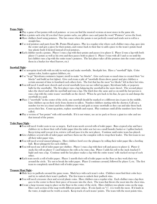## Potato Night -

- ☻Play a game of hot potato with real potatoes or you can find the musical versions at most stores in the game isle.
- ☻Run a potato sack relay (if you don't have potato sacks, use pillow cases and paint the word "Potatoes" across the front.
- ☻Have clubbers bowl using potatoes. The fun comes when the potato is not perfectly round and tends not to roll in a straight line.
- ☻Use real potatoes and parts from Mr. Potato Head games. Play in a regular relay where each clubber runs a lap, goes into the center and gets a piece for their potato, and comes back to their line to add a piece to the team's potato head (use plastic body if desired instead of real potatoes.
- ☻Each clubber needs a potato. Player 1 runs a lap with their potato and passes it to player 2. Player 2 runs a lap with both player 1's potato as well as his own and then passes both to player 3. Player 3 runs with all 3 and so on until the last clubber runs a lap with the entire team's potatoes. The last player takes all the potatoes into the center and puts them in a bucket (or wheel barrow, etc.)

# Snowball Night -

- ☻Use newsprint (end rolls with no ink) to wad up and make snowballs. Stockpile lots. Have a "snowball" fight. Color against color, leaders against clubbers, etc.
- ☻Use "to go" Styrofoam containers (square sized) to make "ice blocks". Give each team so much time to created their "ice blocks" and build an fort (igloo). Give each team a pile of "snowballs (from above game) and give clubbers a certain amount of time to bombard each others forts. The fort that has the most "ice blocks" left in their fort wins.
- ☻You will need 4 small snow shovels and several snowballs (you can use rolled up paper, Styrofoam balls, or popcorn balls for the snowballs). The first player runs a lap balancing the snowball in the snow shovel. The second player takes the shovel and adds his snowball and runs a lap. The third does the same and so on until the last person is runs a lap with the entire teams' snowballs on the shovel. When he gets back to his line, he goes in and dumps the snowballs in a pail.
- ☻Place 5 "snowballs" in the center of the circle, one snowball should be marked or a different size; it goes in the middle. Line clubbers up on their circle from shortest to tallest. Number clubbers starting with the shortest. Call out a number (or two at a time) and those clubbers run in and grab as many snowballs as they can and take them back across their line. Count up points, replace snowballs and repeat. Play continues until all the numbers have been called.
- ☻Play a version of "hot potato" with cold snowballs. If it is not winter, use an ice pack or freeze a giant ice cube and use that instead of the potato.

# Toilet Paper Night -

- ☻You will need 4 toilet seats to use as targets. Each team needs several rolls of toilet paper. Run a typical relay and have clubbers try to throw their roll of toilet paper thru the toilet seat (set on a small laundry basket or 5 gallon bucket). Keep trying until you get it in, retrieve roll and pass it to the next player. Continue until entire team has played.
- ☻Give clubbers several rolls of toilet paper and have them use the complete rolls to wrap their leader. The first team to use all their toilet paper wins.
- ☻You will need several unused plungers. Have clubbers bowl over the plungers by rolling their toilet paper like a bowling ball. Reset plunger(s) for each clubber.
- ☻You will need one roll of toilet paper per clubber. Player 1 runs a lap with their roll and passes to player 2. Player 2 stacks his roll on player 1's and balances the rolls as he runs a lap. Player 3 adds his roll to the stack (stacked 3 high) and runs a lap. Continue until the last player makes a lap with the entire teams' rolls stacked on top of each other.
- ☻Each team needs a roll of toilet paper. Player 1 unrolls their roll of toilet paper on the floor as they work their way around the circle. Try not to break the toilet paper. Player 2 continues around, followed by player 3, etc. The first team to completely unroll their roll of toilet paper wins.

# Treasure Hunt Night -

- ☻Hide keys to padlocks around the game room. Mark keys with each team's color. Clubbers must find their color keys and try to unlock their team's padlock. The first team to unlock their padlock wins.
- ☻You will need a treasure chest and several plastic coins. Have clubbers run a regular relay. Each clubber runs a lap then goes to the center to throw their piece of treasure into the chest. The team that throws the most into the chest wins.
- ☻Create a large treasure map to place on the floor in the center of the circle. Have clubbers toss plastic coins on the map. Have each section of the map worth different point values. If coin lands on "x", it is worth the most. If it lands in the water, it might not be worth as much. Keep track of each teams' points. The team with the most points wins.